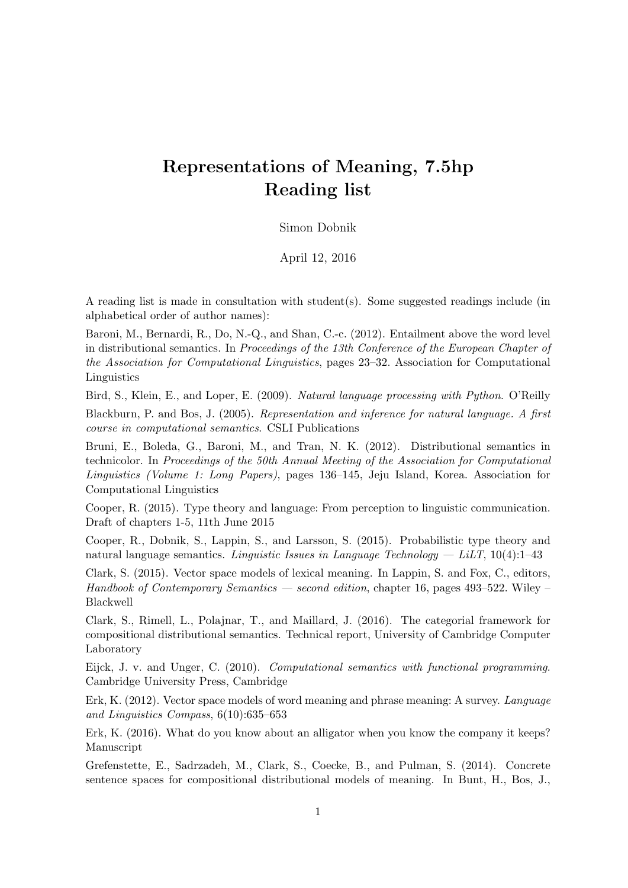## Representations of Meaning, 7.5hp Reading list

## Simon Dobnik

April 12, 2016

A reading list is made in consultation with student(s). Some suggested readings include (in alphabetical order of author names):

Baroni, M., Bernardi, R., Do, N.-Q., and Shan, C.-c. (2012). Entailment above the word level in distributional semantics. In Proceedings of the 13th Conference of the European Chapter of the Association for Computational Linguistics, pages 23–32. Association for Computational Linguistics

Bird, S., Klein, E., and Loper, E. (2009). Natural language processing with Python. O'Reilly Blackburn, P. and Bos, J. (2005). Representation and inference for natural language. A first course in computational semantics. CSLI Publications

Bruni, E., Boleda, G., Baroni, M., and Tran, N. K. (2012). Distributional semantics in technicolor. In Proceedings of the 50th Annual Meeting of the Association for Computational Linguistics (Volume 1: Long Papers), pages 136–145, Jeju Island, Korea. Association for Computational Linguistics

Cooper, R. (2015). Type theory and language: From perception to linguistic communication. Draft of chapters 1-5, 11th June 2015

Cooper, R., Dobnik, S., Lappin, S., and Larsson, S. (2015). Probabilistic type theory and natural language semantics. Linguistic Issues in Language Technology  $-$  LiLT, 10(4):1–43

Clark, S. (2015). Vector space models of lexical meaning. In Lappin, S. and Fox, C., editors, Handbook of Contemporary Semantics — second edition, chapter 16, pages 493–522. Wiley Blackwell

Clark, S., Rimell, L., Polajnar, T., and Maillard, J. (2016). The categorial framework for compositional distributional semantics. Technical report, University of Cambridge Computer Laboratory

Eijck, J. v. and Unger, C. (2010). Computational semantics with functional programming. Cambridge University Press, Cambridge

Erk, K. (2012). Vector space models of word meaning and phrase meaning: A survey. Language and Linguistics Compass, 6(10):635–653

Erk, K. (2016). What do you know about an alligator when you know the company it keeps? Manuscript

Grefenstette, E., Sadrzadeh, M., Clark, S., Coecke, B., and Pulman, S. (2014). Concrete sentence spaces for compositional distributional models of meaning. In Bunt, H., Bos, J.,